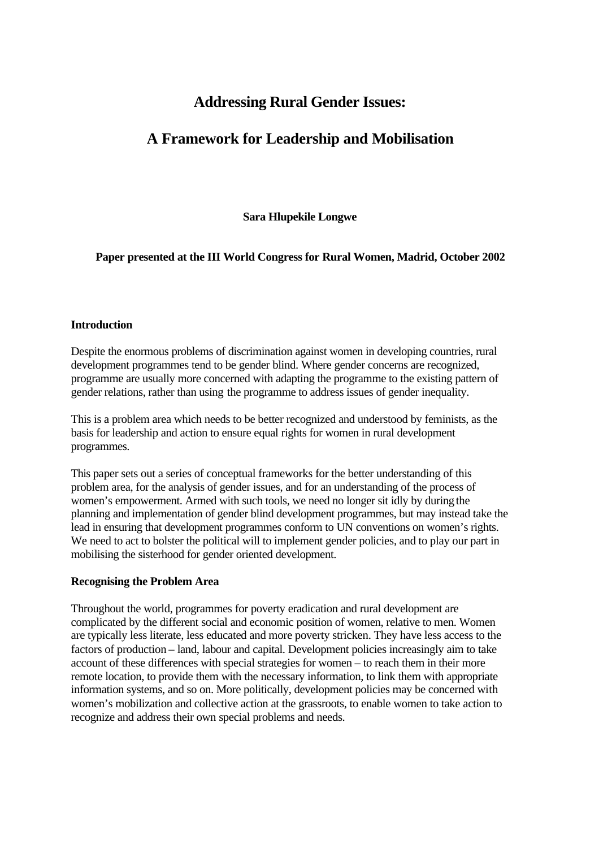# **Addressing Rural Gender Issues:**

# **A Framework for Leadership and Mobilisation**

**Sara Hlupekile Longwe**

**Paper presented at the III World Congress for Rural Women, Madrid, October 2002**

## **Introduction**

Despite the enormous problems of discrimination against women in developing countries, rural development programmes tend to be gender blind. Where gender concerns are recognized, programme are usually more concerned with adapting the programme to the existing pattern of gender relations, rather than using the programme to address issues of gender inequality.

This is a problem area which needs to be better recognized and understood by feminists, as the basis for leadership and action to ensure equal rights for women in rural development programmes.

This paper sets out a series of conceptual frameworks for the better understanding of this problem area, for the analysis of gender issues, and for an understanding of the process of women's empowerment. Armed with such tools, we need no longer sit idly by during the planning and implementation of gender blind development programmes, but may instead take the lead in ensuring that development programmes conform to UN conventions on women's rights. We need to act to bolster the political will to implement gender policies, and to play our part in mobilising the sisterhood for gender oriented development.

# **Recognising the Problem Area**

Throughout the world, programmes for poverty eradication and rural development are complicated by the different social and economic position of women, relative to men. Women are typically less literate, less educated and more poverty stricken. They have less access to the factors of production – land, labour and capital. Development policies increasingly aim to take account of these differences with special strategies for women – to reach them in their more remote location, to provide them with the necessary information, to link them with appropriate information systems, and so on. More politically, development policies may be concerned with women's mobilization and collective action at the grassroots, to enable women to take action to recognize and address their own special problems and needs.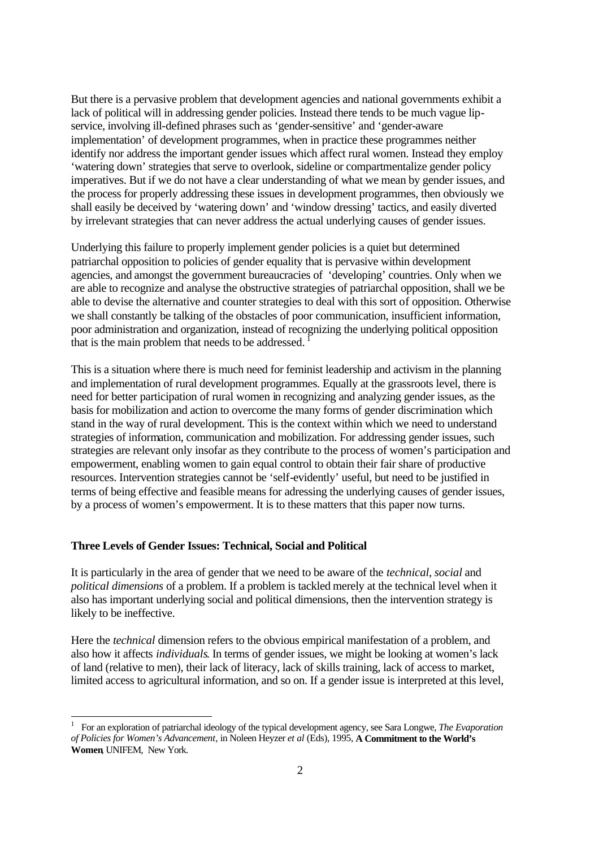But there is a pervasive problem that development agencies and national governments exhibit a lack of political will in addressing gender policies. Instead there tends to be much vague lipservice, involving ill-defined phrases such as 'gender-sensitive' and 'gender-aware implementation' of development programmes, when in practice these programmes neither identify nor address the important gender issues which affect rural women. Instead they employ 'watering down' strategies that serve to overlook, sideline or compartmentalize gender policy imperatives. But if we do not have a clear understanding of what we mean by gender issues, and the process for properly addressing these issues in development programmes, then obviously we shall easily be deceived by 'watering down' and 'window dressing' tactics, and easily diverted by irrelevant strategies that can never address the actual underlying causes of gender issues.

Underlying this failure to properly implement gender policies is a quiet but determined patriarchal opposition to policies of gender equality that is pervasive within development agencies, and amongst the government bureaucracies of 'developing' countries. Only when we are able to recognize and analyse the obstructive strategies of patriarchal opposition, shall we be able to devise the alternative and counter strategies to deal with this sort of opposition. Otherwise we shall constantly be talking of the obstacles of poor communication, insufficient information, poor administration and organization, instead of recognizing the underlying political opposition that is the main problem that needs to be addressed.<sup>1</sup>

This is a situation where there is much need for feminist leadership and activism in the planning and implementation of rural development programmes. Equally at the grassroots level, there is need for better participation of rural women in recognizing and analyzing gender issues, as the basis for mobilization and action to overcome the many forms of gender discrimination which stand in the way of rural development. This is the context within which we need to understand strategies of information, communication and mobilization. For addressing gender issues, such strategies are relevant only insofar as they contribute to the process of women's participation and empowerment, enabling women to gain equal control to obtain their fair share of productive resources. Intervention strategies cannot be 'self-evidently' useful, but need to be justified in terms of being effective and feasible means for adressing the underlying causes of gender issues, by a process of women's empowerment. It is to these matters that this paper now turns.

## **Three Levels of Gender Issues: Technical, Social and Political**

It is particularly in the area of gender that we need to be aware of the *technical, social* and *political dimensions* of a problem. If a problem is tackled merely at the technical level when it also has important underlying social and political dimensions, then the intervention strategy is likely to be ineffective.

Here the *technical* dimension refers to the obvious empirical manifestation of a problem, and also how it affects *individuals*. In terms of gender issues, we might be looking at women's lack of land (relative to men), their lack of literacy, lack of skills training, lack of access to market, limited access to agricultural information, and so on. If a gender issue is interpreted at this level,

<sup>1</sup> For an exploration of patriarchal ideology of the typical development agency, see Sara Longwe, *The Evaporation of Policies for Women's Advancement,* in Noleen Heyzer *et al* (Eds), 1995, **A Commitment to the World's Women**, UNIFEM, New York.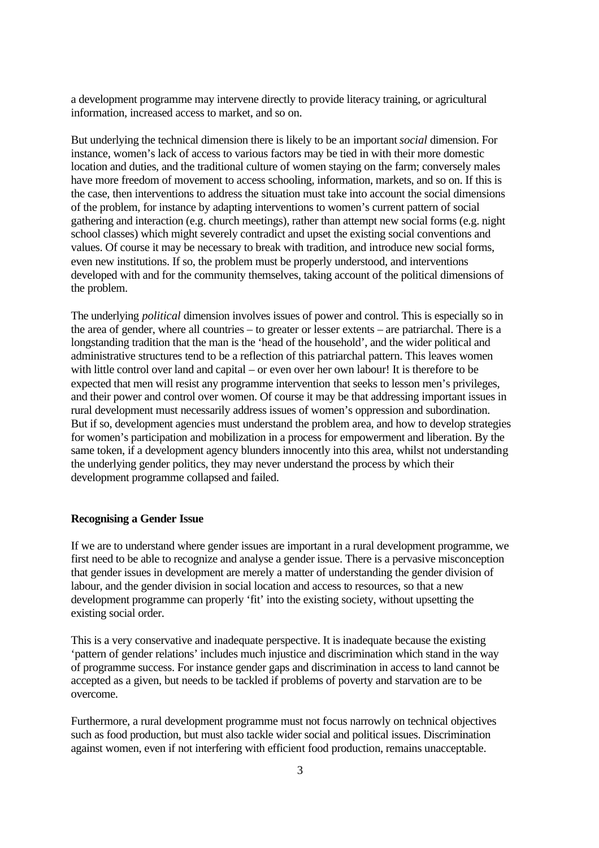a development programme may intervene directly to provide literacy training, or agricultural information, increased access to market, and so on.

But underlying the technical dimension there is likely to be an important *social* dimension. For instance, women's lack of access to various factors may be tied in with their more domestic location and duties, and the traditional culture of women staying on the farm; conversely males have more freedom of movement to access schooling, information, markets, and so on. If this is the case, then interventions to address the situation must take into account the social dimensions of the problem, for instance by adapting interventions to women's current pattern of social gathering and interaction (e.g. church meetings), rather than attempt new social forms (e.g. night school classes) which might severely contradict and upset the existing social conventions and values. Of course it may be necessary to break with tradition, and introduce new social forms, even new institutions. If so, the problem must be properly understood, and interventions developed with and for the community themselves, taking account of the political dimensions of the problem.

The underlying *political* dimension involves issues of power and control. This is especially so in the area of gender, where all countries – to greater or lesser extents – are patriarchal. There is a longstanding tradition that the man is the 'head of the household', and the wider political and administrative structures tend to be a reflection of this patriarchal pattern. This leaves women with little control over land and capital – or even over her own labour! It is therefore to be expected that men will resist any programme intervention that seeks to lesson men's privileges, and their power and control over women. Of course it may be that addressing important issues in rural development must necessarily address issues of women's oppression and subordination. But if so, development agencies must understand the problem area, and how to develop strategies for women's participation and mobilization in a process for empowerment and liberation. By the same token, if a development agency blunders innocently into this area, whilst not understanding the underlying gender politics, they may never understand the process by which their development programme collapsed and failed.

## **Recognising a Gender Issue**

If we are to understand where gender issues are important in a rural development programme, we first need to be able to recognize and analyse a gender issue. There is a pervasive misconception that gender issues in development are merely a matter of understanding the gender division of labour, and the gender division in social location and access to resources, so that a new development programme can properly 'fit' into the existing society, without upsetting the existing social order.

This is a very conservative and inadequate perspective. It is inadequate because the existing 'pattern of gender relations' includes much injustice and discrimination which stand in the way of programme success. For instance gender gaps and discrimination in access to land cannot be accepted as a given, but needs to be tackled if problems of poverty and starvation are to be overcome.

Furthermore, a rural development programme must not focus narrowly on technical objectives such as food production, but must also tackle wider social and political issues. Discrimination against women, even if not interfering with efficient food production, remains unacceptable.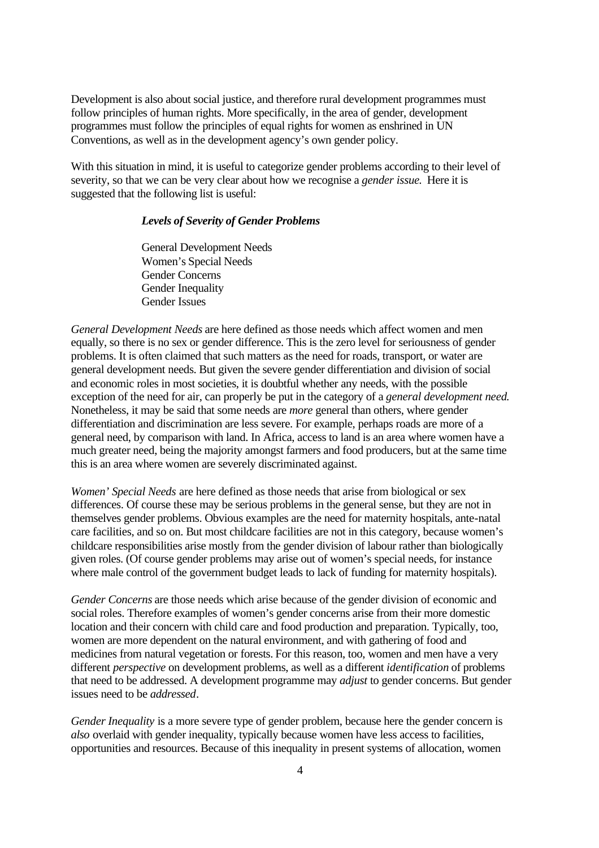Development is also about social justice, and therefore rural development programmes must follow principles of human rights. More specifically, in the area of gender, development programmes must follow the principles of equal rights for women as enshrined in UN Conventions, as well as in the development agency's own gender policy.

With this situation in mind, it is useful to categorize gender problems according to their level of severity, so that we can be very clear about how we recognise a *gender issue*. Here it is suggested that the following list is useful:

## *Levels of Severity of Gender Problems*

General Development Needs Women's Special Needs Gender Concerns Gender Inequality Gender Issues

*General Development Needs* are here defined as those needs which affect women and men equally, so there is no sex or gender difference. This is the zero level for seriousness of gender problems. It is often claimed that such matters as the need for roads, transport, or water are general development needs. But given the severe gender differentiation and division of social and economic roles in most societies, it is doubtful whether any needs, with the possible exception of the need for air, can properly be put in the category of a *general development need*. Nonetheless, it may be said that some needs are *more* general than others, where gender differentiation and discrimination are less severe. For example, perhaps roads are more of a general need, by comparison with land. In Africa, access to land is an area where women have a much greater need, being the majority amongst farmers and food producers, but at the same time this is an area where women are severely discriminated against.

*Women' Special Needs* are here defined as those needs that arise from biological or sex differences. Of course these may be serious problems in the general sense, but they are not in themselves gender problems. Obvious examples are the need for maternity hospitals, ante-natal care facilities, and so on. But most childcare facilities are not in this category, because women's childcare responsibilities arise mostly from the gender division of labour rather than biologically given roles. (Of course gender problems may arise out of women's special needs, for instance where male control of the government budget leads to lack of funding for maternity hospitals).

*Gender Concerns* are those needs which arise because of the gender division of economic and social roles. Therefore examples of women's gender concerns arise from their more domestic location and their concern with child care and food production and preparation. Typically, too, women are more dependent on the natural environment, and with gathering of food and medicines from natural vegetation or forests. For this reason, too, women and men have a very different *perspective* on development problems, as well as a different *identification* of problems that need to be addressed. A development programme may *adjust* to gender concerns. But gender issues need to be *addressed*.

*Gender Inequality* is a more severe type of gender problem, because here the gender concern is *also* overlaid with gender inequality, typically because women have less access to facilities, opportunities and resources. Because of this inequality in present systems of allocation, women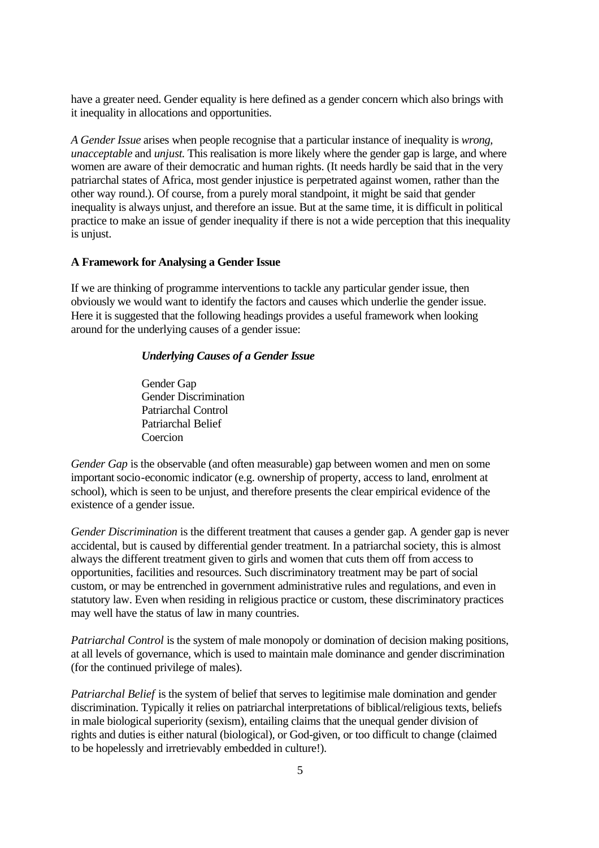have a greater need. Gender equality is here defined as a gender concern which also brings with it inequality in allocations and opportunities.

*A Gender Issue* arises when people recognise that a particular instance of inequality is *wrong, unacceptable* and *unjust.* This realisation is more likely where the gender gap is large, and where women are aware of their democratic and human rights. (It needs hardly be said that in the very patriarchal states of Africa, most gender injustice is perpetrated against women, rather than the other way round.). Of course, from a purely moral standpoint, it might be said that gender inequality is always unjust, and therefore an issue. But at the same time, it is difficult in political practice to make an issue of gender inequality if there is not a wide perception that this inequality is unjust.

## **A Framework for Analysing a Gender Issue**

If we are thinking of programme interventions to tackle any particular gender issue, then obviously we would want to identify the factors and causes which underlie the gender issue. Here it is suggested that the following headings provides a useful framework when looking around for the underlying causes of a gender issue:

## *Underlying Causes of a Gender Issue*

Gender Gap Gender Discrimination Patriarchal Control Patriarchal Belief Coercion

*Gender Gap* is the observable (and often measurable) gap between women and men on some important socio-economic indicator (e.g. ownership of property, access to land, enrolment at school), which is seen to be unjust, and therefore presents the clear empirical evidence of the existence of a gender issue.

*Gender Discrimination* is the different treatment that causes a gender gap. A gender gap is never accidental, but is caused by differential gender treatment. In a patriarchal society, this is almost always the different treatment given to girls and women that cuts them off from access to opportunities, facilities and resources. Such discriminatory treatment may be part of social custom, or may be entrenched in government administrative rules and regulations, and even in statutory law. Even when residing in religious practice or custom, these discriminatory practices may well have the status of law in many countries.

*Patriarchal Control* is the system of male monopoly or domination of decision making positions, at all levels of governance, which is used to maintain male dominance and gender discrimination (for the continued privilege of males).

*Patriarchal Belief* is the system of belief that serves to legitimise male domination and gender discrimination. Typically it relies on patriarchal interpretations of biblical/religious texts, beliefs in male biological superiority (sexism), entailing claims that the unequal gender division of rights and duties is either natural (biological), or God-given, or too difficult to change (claimed to be hopelessly and irretrievably embedded in culture!).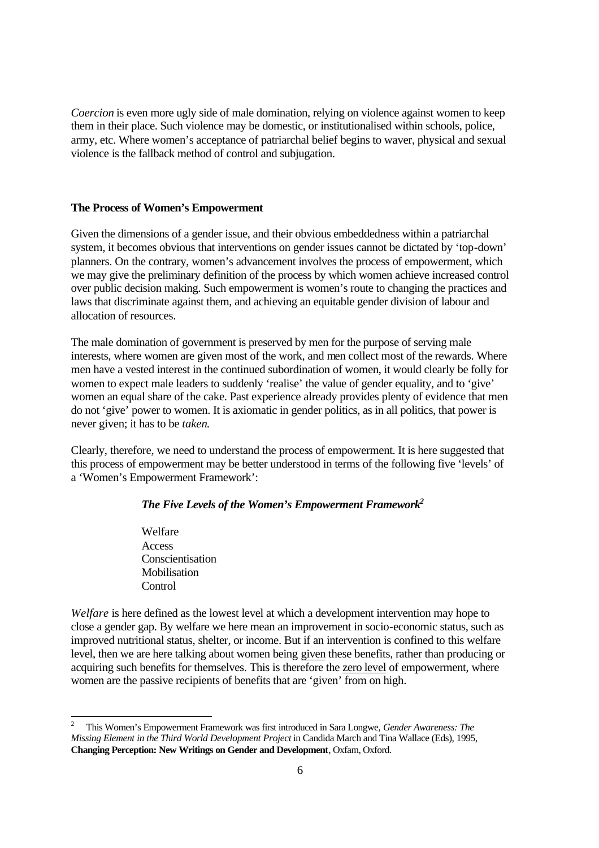*Coercion* is even more ugly side of male domination, relying on violence against women to keep them in their place. Such violence may be domestic, or institutionalised within schools, police, army, etc. Where women's acceptance of patriarchal belief begins to waver, physical and sexual violence is the fallback method of control and subjugation.

#### **The Process of Women's Empowerment**

Given the dimensions of a gender issue, and their obvious embeddedness within a patriarchal system, it becomes obvious that interventions on gender issues cannot be dictated by 'top-down' planners. On the contrary, women's advancement involves the process of empowerment, which we may give the preliminary definition of the process by which women achieve increased control over public decision making. Such empowerment is women's route to changing the practices and laws that discriminate against them, and achieving an equitable gender division of labour and allocation of resources.

The male domination of government is preserved by men for the purpose of serving male interests, where women are given most of the work, and men collect most of the rewards. Where men have a vested interest in the continued subordination of women, it would clearly be folly for women to expect male leaders to suddenly 'realise' the value of gender equality, and to 'give' women an equal share of the cake. Past experience already provides plenty of evidence that men do not 'give' power to women. It is axiomatic in gender politics, as in all politics, that power is never given; it has to be *taken*.

Clearly, therefore, we need to understand the process of empowerment. It is here suggested that this process of empowerment may be better understood in terms of the following five 'levels' of a 'Women's Empowerment Framework':

## *The Five Levels of the Women's Empowerment Framework<sup>2</sup>*

Welfare Access Conscientisation Mobilisation **Control** 

*Welfare* is here defined as the lowest level at which a development intervention may hope to close a gender gap. By welfare we here mean an improvement in socio-economic status, such as improved nutritional status, shelter, or income. But if an intervention is confined to this welfare level, then we are here talking about women being given these benefits, rather than producing or acquiring such benefits for themselves. This is therefore the zero level of empowerment, where women are the passive recipients of benefits that are 'given' from on high.

<sup>2</sup> This Women's Empowerment Framework was first introduced in Sara Longwe, *Gender Awareness: The Missing Element in the Third World Development Project* in Candida March and Tina Wallace (Eds), 1995, **Changing Perception: New Writings on Gender and Development**, Oxfam, Oxford.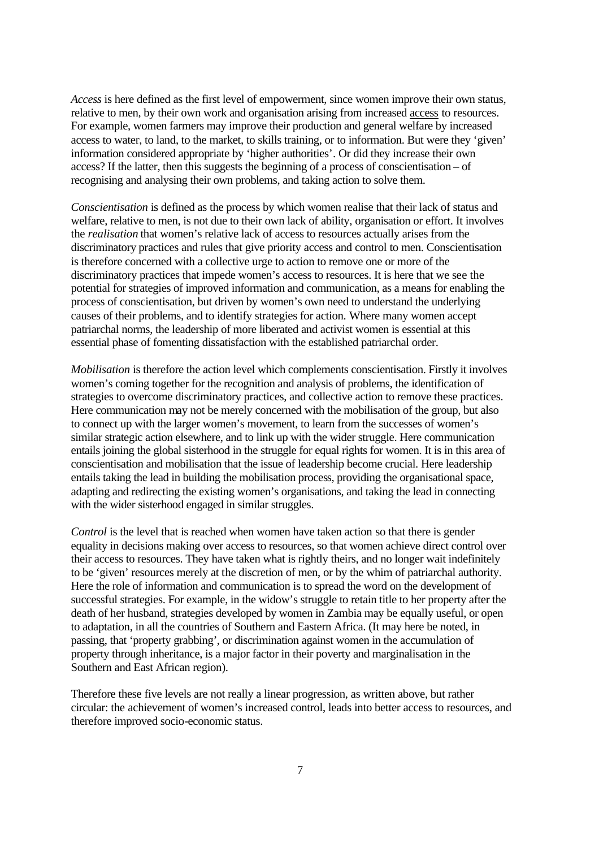*Access* is here defined as the first level of empowerment, since women improve their own status, relative to men, by their own work and organisation arising from increased access to resources. For example, women farmers may improve their production and general welfare by increased access to water, to land, to the market, to skills training, or to information. But were they 'given' information considered appropriate by 'higher authorities'. Or did they increase their own access? If the latter, then this suggests the beginning of a process of conscientisation – of recognising and analysing their own problems, and taking action to solve them.

*Conscientisation* is defined as the process by which women realise that their lack of status and welfare, relative to men, is not due to their own lack of ability, organisation or effort. It involves the *realisation* that women's relative lack of access to resources actually arises from the discriminatory practices and rules that give priority access and control to men. Conscientisation is therefore concerned with a collective urge to action to remove one or more of the discriminatory practices that impede women's access to resources. It is here that we see the potential for strategies of improved information and communication, as a means for enabling the process of conscientisation, but driven by women's own need to understand the underlying causes of their problems, and to identify strategies for action. Where many women accept patriarchal norms, the leadership of more liberated and activist women is essential at this essential phase of fomenting dissatisfaction with the established patriarchal order.

*Mobilisation* is therefore the action level which complements conscientisation. Firstly it involves women's coming together for the recognition and analysis of problems, the identification of strategies to overcome discriminatory practices, and collective action to remove these practices. Here communication may not be merely concerned with the mobilisation of the group, but also to connect up with the larger women's movement, to learn from the successes of women's similar strategic action elsewhere, and to link up with the wider struggle. Here communication entails joining the global sisterhood in the struggle for equal rights for women. It is in this area of conscientisation and mobilisation that the issue of leadership become crucial. Here leadership entails taking the lead in building the mobilisation process, providing the organisational space, adapting and redirecting the existing women's organisations, and taking the lead in connecting with the wider sisterhood engaged in similar struggles.

*Control* is the level that is reached when women have taken action so that there is gender equality in decisions making over access to resources, so that women achieve direct control over their access to resources. They have taken what is rightly theirs, and no longer wait indefinitely to be 'given' resources merely at the discretion of men, or by the whim of patriarchal authority. Here the role of information and communication is to spread the word on the development of successful strategies. For example, in the widow's struggle to retain title to her property after the death of her husband, strategies developed by women in Zambia may be equally useful, or open to adaptation, in all the countries of Southern and Eastern Africa. (It may here be noted, in passing, that 'property grabbing', or discrimination against women in the accumulation of property through inheritance, is a major factor in their poverty and marginalisation in the Southern and East African region).

Therefore these five levels are not really a linear progression, as written above, but rather circular: the achievement of women's increased control, leads into better access to resources, and therefore improved socio-economic status.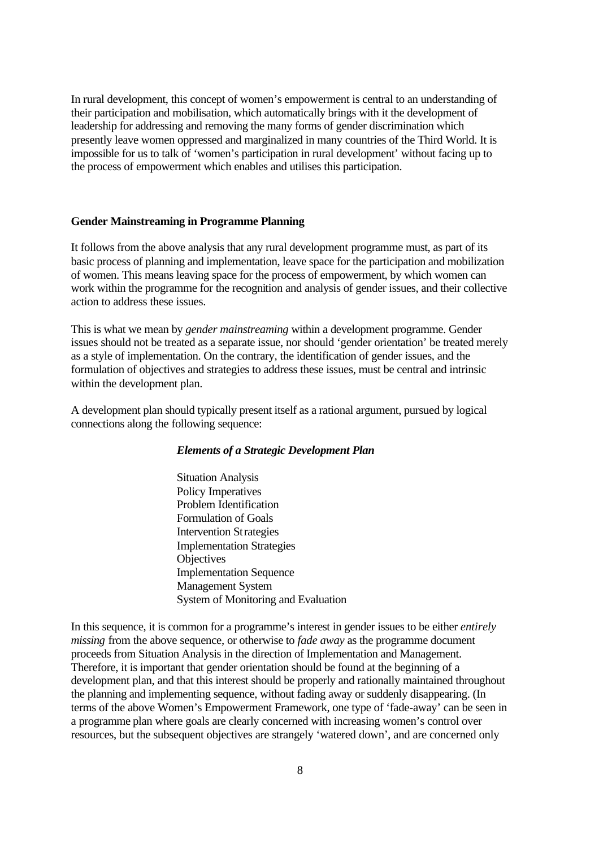In rural development, this concept of women's empowerment is central to an understanding of their participation and mobilisation, which automatically brings with it the development of leadership for addressing and removing the many forms of gender discrimination which presently leave women oppressed and marginalized in many countries of the Third World. It is impossible for us to talk of 'women's participation in rural development' without facing up to the process of empowerment which enables and utilises this participation.

## **Gender Mainstreaming in Programme Planning**

It follows from the above analysis that any rural development programme must, as part of its basic process of planning and implementation, leave space for the participation and mobilization of women. This means leaving space for the process of empowerment, by which women can work within the programme for the recognition and analysis of gender issues, and their collective action to address these issues.

This is what we mean by *gender mainstreaming* within a development programme. Gender issues should not be treated as a separate issue, nor should 'gender orientation' be treated merely as a style of implementation. On the contrary, the identification of gender issues, and the formulation of objectives and strategies to address these issues, must be central and intrinsic within the development plan.

A development plan should typically present itself as a rational argument, pursued by logical connections along the following sequence:

## *Elements of a Strategic Development Plan*

Situation Analysis Policy Imperatives Problem Identification Formulation of Goals Intervention Strategies Implementation Strategies **Objectives** Implementation Sequence Management System System of Monitoring and Evaluation

In this sequence, it is common for a programme's interest in gender issues to be either *entirely missing* from the above sequence, or otherwise to *fade away* as the programme document proceeds from Situation Analysis in the direction of Implementation and Management. Therefore, it is important that gender orientation should be found at the beginning of a development plan, and that this interest should be properly and rationally maintained throughout the planning and implementing sequence, without fading away or suddenly disappearing. (In terms of the above Women's Empowerment Framework, one type of 'fade-away' can be seen in a programme plan where goals are clearly concerned with increasing women's control over resources, but the subsequent objectives are strangely 'watered down', and are concerned only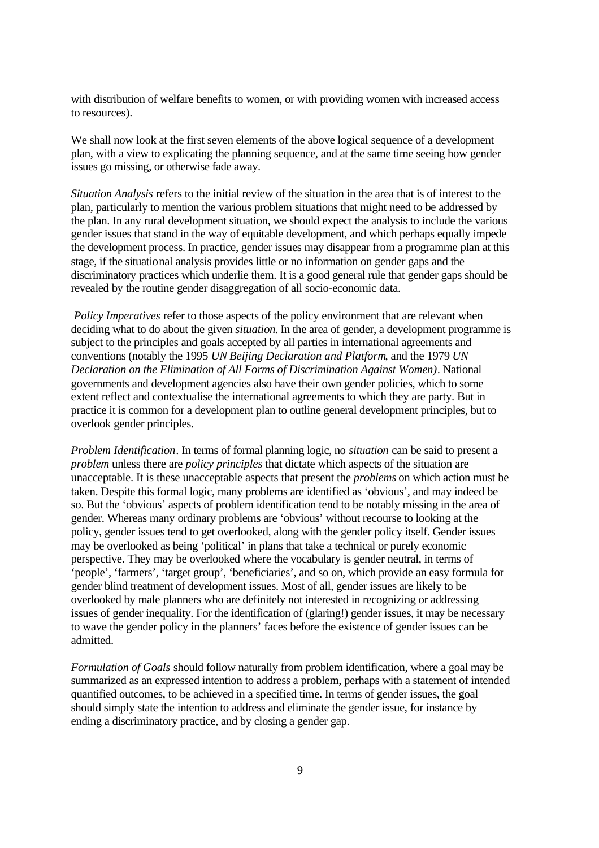with distribution of welfare benefits to women, or with providing women with increased access to resources).

We shall now look at the first seven elements of the above logical sequence of a development plan, with a view to explicating the planning sequence, and at the same time seeing how gender issues go missing, or otherwise fade away.

*Situation Analysis* refers to the initial review of the situation in the area that is of interest to the plan, particularly to mention the various problem situations that might need to be addressed by the plan. In any rural development situation, we should expect the analysis to include the various gender issues that stand in the way of equitable development, and which perhaps equally impede the development process. In practice, gender issues may disappear from a programme plan at this stage, if the situational analysis provides little or no information on gender gaps and the discriminatory practices which underlie them. It is a good general rule that gender gaps should be revealed by the routine gender disaggregation of all socio-economic data.

 *Policy Imperatives* refer to those aspects of the policy environment that are relevant when deciding what to do about the given *situation*. In the area of gender, a development programme is subject to the principles and goals accepted by all parties in international agreements and conventions (notably the 1995 *UN Beijing Declaration and Platform*, and the 1979 *UN Declaration on the Elimination of All Forms of Discrimination Against Women)*. National governments and development agencies also have their own gender policies, which to some extent reflect and contextualise the international agreements to which they are party. But in practice it is common for a development plan to outline general development principles, but to overlook gender principles.

*Problem Identification*. In terms of formal planning logic, no *situation* can be said to present a *problem* unless there are *policy principles* that dictate which aspects of the situation are unacceptable. It is these unacceptable aspects that present the *problems* on which action must be taken. Despite this formal logic, many problems are identified as 'obvious', and may indeed be so. But the 'obvious' aspects of problem identification tend to be notably missing in the area of gender. Whereas many ordinary problems are 'obvious' without recourse to looking at the policy, gender issues tend to get overlooked, along with the gender policy itself. Gender issues may be overlooked as being 'political' in plans that take a technical or purely economic perspective. They may be overlooked where the vocabulary is gender neutral, in terms of 'people', 'farmers', 'target group', 'beneficiaries', and so on, which provide an easy formula for gender blind treatment of development issues. Most of all, gender issues are likely to be overlooked by male planners who are definitely not interested in recognizing or addressing issues of gender inequality. For the identification of (glaring!) gender issues, it may be necessary to wave the gender policy in the planners' faces before the existence of gender issues can be admitted.

*Formulation of Goals* should follow naturally from problem identification, where a goal may be summarized as an expressed intention to address a problem, perhaps with a statement of intended quantified outcomes, to be achieved in a specified time. In terms of gender issues, the goal should simply state the intention to address and eliminate the gender issue, for instance by ending a discriminatory practice, and by closing a gender gap.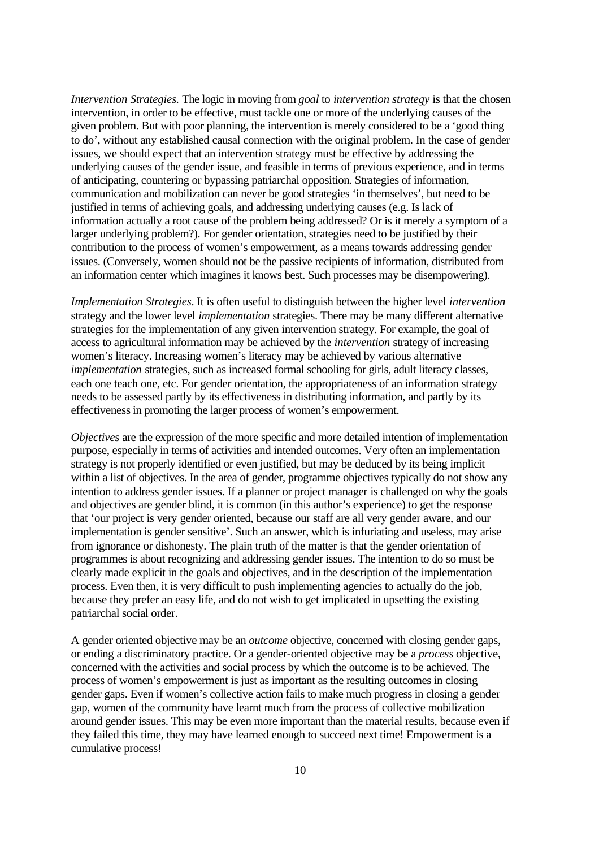*Intervention Strategies.* The logic in moving from *goal* to *intervention strategy* is that the chosen intervention, in order to be effective, must tackle one or more of the underlying causes of the given problem. But with poor planning, the intervention is merely considered to be a 'good thing to do', without any established causal connection with the original problem. In the case of gender issues, we should expect that an intervention strategy must be effective by addressing the underlying causes of the gender issue, and feasible in terms of previous experience, and in terms of anticipating, countering or bypassing patriarchal opposition. Strategies of information, communication and mobilization can never be good strategies 'in themselves', but need to be justified in terms of achieving goals, and addressing underlying causes (e.g. Is lack of information actually a root cause of the problem being addressed? Or is it merely a symptom of a larger underlying problem?). For gender orientation, strategies need to be justified by their contribution to the process of women's empowerment, as a means towards addressing gender issues. (Conversely, women should not be the passive recipients of information, distributed from an information center which imagines it knows best. Such processes may be disempowering).

*Implementation Strategies*. It is often useful to distinguish between the higher level *intervention* strategy and the lower level *implementation* strategies. There may be many different alternative strategies for the implementation of any given intervention strategy. For example, the goal of access to agricultural information may be achieved by the *intervention* strategy of increasing women's literacy. Increasing women's literacy may be achieved by various alternative *implementation* strategies, such as increased formal schooling for girls, adult literacy classes, each one teach one, etc. For gender orientation, the appropriateness of an information strategy needs to be assessed partly by its effectiveness in distributing information, and partly by its effectiveness in promoting the larger process of women's empowerment.

*Objectives* are the expression of the more specific and more detailed intention of implementation purpose, especially in terms of activities and intended outcomes. Very often an implementation strategy is not properly identified or even justified, but may be deduced by its being implicit within a list of objectives. In the area of gender, programme objectives typically do not show any intention to address gender issues. If a planner or project manager is challenged on why the goals and objectives are gender blind, it is common (in this author's experience) to get the response that 'our project is very gender oriented, because our staff are all very gender aware, and our implementation is gender sensitive'. Such an answer, which is infuriating and useless, may arise from ignorance or dishonesty. The plain truth of the matter is that the gender orientation of programmes is about recognizing and addressing gender issues. The intention to do so must be clearly made explicit in the goals and objectives, and in the description of the implementation process. Even then, it is very difficult to push implementing agencies to actually do the job, because they prefer an easy life, and do not wish to get implicated in upsetting the existing patriarchal social order.

A gender oriented objective may be an *outcome* objective, concerned with closing gender gaps, or ending a discriminatory practice. Or a gender-oriented objective may be a *process* objective, concerned with the activities and social process by which the outcome is to be achieved. The process of women's empowerment is just as important as the resulting outcomes in closing gender gaps. Even if women's collective action fails to make much progress in closing a gender gap, women of the community have learnt much from the process of collective mobilization around gender issues. This may be even more important than the material results, because even if they failed this time, they may have learned enough to succeed next time! Empowerment is a cumulative process!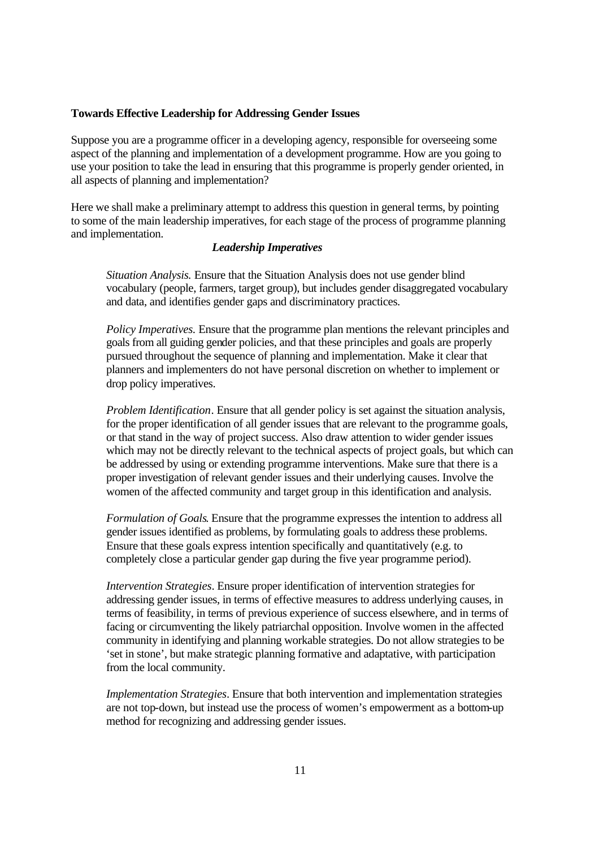#### **Towards Effective Leadership for Addressing Gender Issues**

Suppose you are a programme officer in a developing agency, responsible for overseeing some aspect of the planning and implementation of a development programme. How are you going to use your position to take the lead in ensuring that this programme is properly gender oriented, in all aspects of planning and implementation?

Here we shall make a preliminary attempt to address this question in general terms, by pointing to some of the main leadership imperatives, for each stage of the process of programme planning and implementation.

## *Leadership Imperatives*

*Situation Analysis.* Ensure that the Situation Analysis does not use gender blind vocabulary (people, farmers, target group), but includes gender disaggregated vocabulary and data, and identifies gender gaps and discriminatory practices.

*Policy Imperatives.* Ensure that the programme plan mentions the relevant principles and goals from all guiding gender policies, and that these principles and goals are properly pursued throughout the sequence of planning and implementation. Make it clear that planners and implementers do not have personal discretion on whether to implement or drop policy imperatives.

*Problem Identification*. Ensure that all gender policy is set against the situation analysis, for the proper identification of all gender issues that are relevant to the programme goals, or that stand in the way of project success. Also draw attention to wider gender issues which may not be directly relevant to the technical aspects of project goals, but which can be addressed by using or extending programme interventions. Make sure that there is a proper investigation of relevant gender issues and their underlying causes. Involve the women of the affected community and target group in this identification and analysis.

*Formulation of Goals*. Ensure that the programme expresses the intention to address all gender issues identified as problems, by formulating goals to address these problems. Ensure that these goals express intention specifically and quantitatively (e.g. to completely close a particular gender gap during the five year programme period).

*Intervention Strategies*. Ensure proper identification of intervention strategies for addressing gender issues, in terms of effective measures to address underlying causes, in terms of feasibility, in terms of previous experience of success elsewhere, and in terms of facing or circumventing the likely patriarchal opposition. Involve women in the affected community in identifying and planning workable strategies. Do not allow strategies to be 'set in stone', but make strategic planning formative and adaptative, with participation from the local community.

*Implementation Strategies*. Ensure that both intervention and implementation strategies are not top-down, but instead use the process of women's empowerment as a bottom-up method for recognizing and addressing gender issues.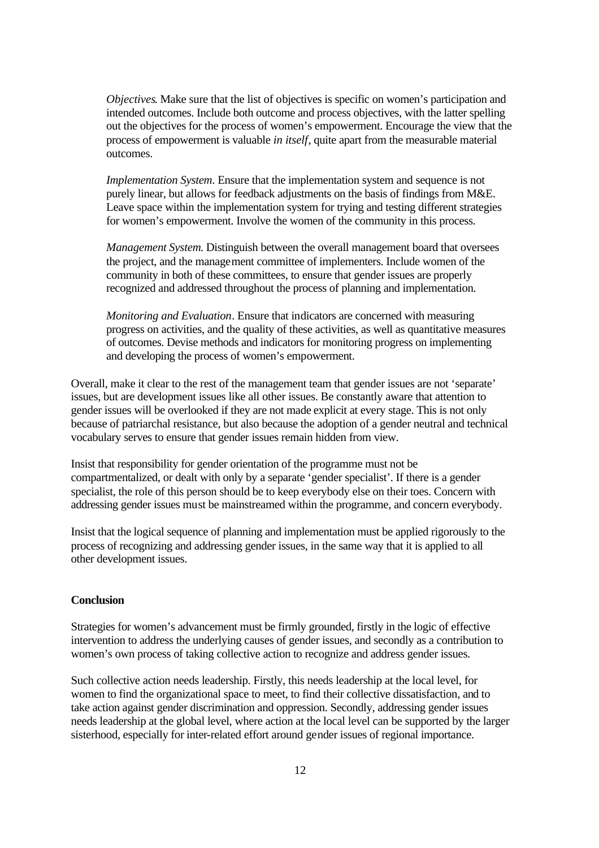*Objectives*. Make sure that the list of objectives is specific on women's participation and intended outcomes. Include both outcome and process objectives, with the latter spelling out the objectives for the process of women's empowerment. Encourage the view that the process of empowerment is valuable *in itself*, quite apart from the measurable material outcomes.

*Implementation System*. Ensure that the implementation system and sequence is not purely linear, but allows for feedback adjustments on the basis of findings from M&E. Leave space within the implementation system for trying and testing different strategies for women's empowerment. Involve the women of the community in this process.

*Management System*. Distinguish between the overall management board that oversees the project, and the management committee of implementers. Include women of the community in both of these committees, to ensure that gender issues are properly recognized and addressed throughout the process of planning and implementation.

*Monitoring and Evaluation*. Ensure that indicators are concerned with measuring progress on activities, and the quality of these activities, as well as quantitative measures of outcomes. Devise methods and indicators for monitoring progress on implementing and developing the process of women's empowerment.

Overall, make it clear to the rest of the management team that gender issues are not 'separate' issues, but are development issues like all other issues. Be constantly aware that attention to gender issues will be overlooked if they are not made explicit at every stage. This is not only because of patriarchal resistance, but also because the adoption of a gender neutral and technical vocabulary serves to ensure that gender issues remain hidden from view.

Insist that responsibility for gender orientation of the programme must not be compartmentalized, or dealt with only by a separate 'gender specialist'. If there is a gender specialist, the role of this person should be to keep everybody else on their toes. Concern with addressing gender issues must be mainstreamed within the programme, and concern everybody.

Insist that the logical sequence of planning and implementation must be applied rigorously to the process of recognizing and addressing gender issues, in the same way that it is applied to all other development issues.

### **Conclusion**

Strategies for women's advancement must be firmly grounded, firstly in the logic of effective intervention to address the underlying causes of gender issues, and secondly as a contribution to women's own process of taking collective action to recognize and address gender issues.

Such collective action needs leadership. Firstly, this needs leadership at the local level, for women to find the organizational space to meet, to find their collective dissatisfaction, and to take action against gender discrimination and oppression. Secondly, addressing gender issues needs leadership at the global level, where action at the local level can be supported by the larger sisterhood, especially for inter-related effort around gender issues of regional importance.